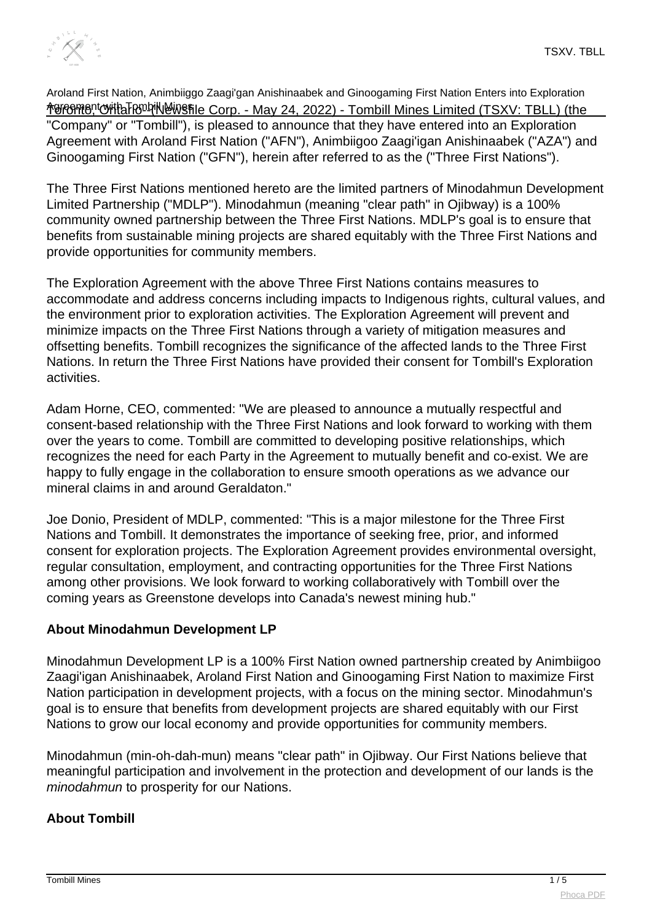

Aroland First Nation, Animbiiggo Zaagi'gan Anishinaabek and Ginoogaming First Nation Enters into Exploration frement with The Tombill Mines Torontom Corp. - May 24, 2022) - Tombill Mines Limited (TSXV: TBLL) (the "Company" or "Tombill"), is pleased to announce that they have entered into an Exploration Agreement with Aroland First Nation ("AFN"), Animbiigoo Zaagi'igan Anishinaabek ("AZA") and Ginoogaming First Nation ("GFN"), herein after referred to as the ("Three First Nations").

The Three First Nations mentioned hereto are the limited partners of Minodahmun Development Limited Partnership ("MDLP"). Minodahmun (meaning "clear path" in Ojibway) is a 100% community owned partnership between the Three First Nations. MDLP's goal is to ensure that benefits from sustainable mining projects are shared equitably with the Three First Nations and provide opportunities for community members.

The Exploration Agreement with the above Three First Nations contains measures to accommodate and address concerns including impacts to Indigenous rights, cultural values, and the environment prior to exploration activities. The Exploration Agreement will prevent and minimize impacts on the Three First Nations through a variety of mitigation measures and offsetting benefits. Tombill recognizes the significance of the affected lands to the Three First Nations. In return the Three First Nations have provided their consent for Tombill's Exploration activities.

Adam Horne, CEO, commented: "We are pleased to announce a mutually respectful and consent-based relationship with the Three First Nations and look forward to working with them over the years to come. Tombill are committed to developing positive relationships, which recognizes the need for each Party in the Agreement to mutually benefit and co-exist. We are happy to fully engage in the collaboration to ensure smooth operations as we advance our mineral claims in and around Geraldaton."

Joe Donio, President of MDLP, commented: "This is a major milestone for the Three First Nations and Tombill. It demonstrates the importance of seeking free, prior, and informed consent for exploration projects. The Exploration Agreement provides environmental oversight, regular consultation, employment, and contracting opportunities for the Three First Nations among other provisions. We look forward to working collaboratively with Tombill over the coming years as Greenstone develops into Canada's newest mining hub."

## **About Minodahmun Development LP**

Minodahmun Development LP is a 100% First Nation owned partnership created by Animbiigoo Zaagi'igan Anishinaabek, Aroland First Nation and Ginoogaming First Nation to maximize First Nation participation in development projects, with a focus on the mining sector. Minodahmun's goal is to ensure that benefits from development projects are shared equitably with our First Nations to grow our local economy and provide opportunities for community members.

Minodahmun (min-oh-dah-mun) means "clear path" in Ojibway. Our First Nations believe that meaningful participation and involvement in the protection and development of our lands is the minodahmun to prosperity for our Nations.

## **About Tombill**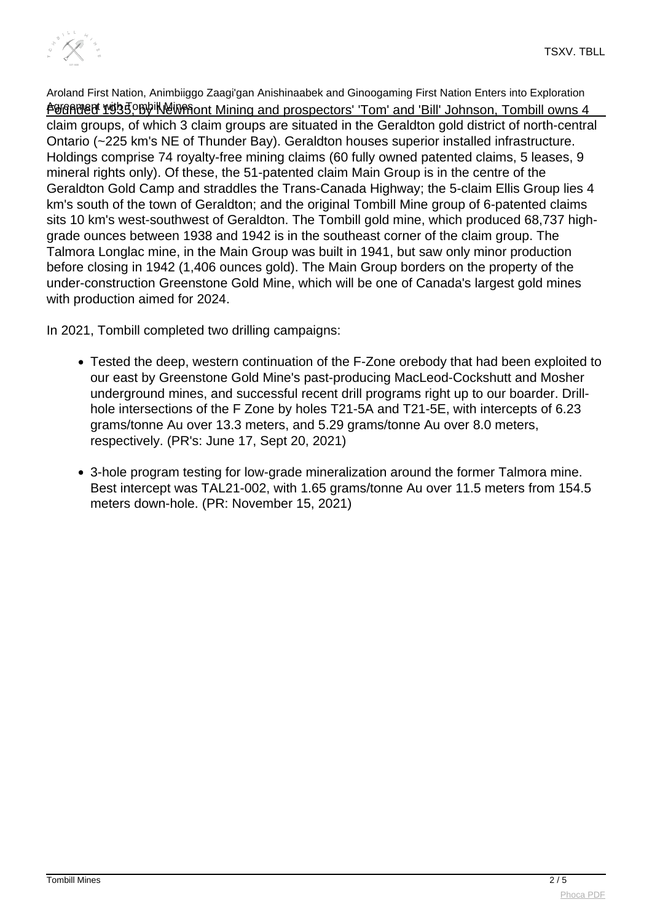

Aroland First Nation, Animbiiggo Zaagi'gan Anishinaabek and Ginoogaming First Nation Enters into Exploration Agreement with Tombill Owns 4 by Agreement Mining and prospectors' 'Tom' and 'Bill' Johnson, Tombill owns 4 claim groups, of which 3 claim groups are situated in the Geraldton gold district of north-central Ontario (~225 km's NE of Thunder Bay). Geraldton houses superior installed infrastructure. Holdings comprise 74 royalty-free mining claims (60 fully owned patented claims, 5 leases, 9 mineral rights only). Of these, the 51-patented claim Main Group is in the centre of the Geraldton Gold Camp and straddles the Trans-Canada Highway; the 5-claim Ellis Group lies 4 km's south of the town of Geraldton; and the original Tombill Mine group of 6-patented claims sits 10 km's west-southwest of Geraldton. The Tombill gold mine, which produced 68,737 highgrade ounces between 1938 and 1942 is in the southeast corner of the claim group. The Talmora Longlac mine, in the Main Group was built in 1941, but saw only minor production before closing in 1942 (1,406 ounces gold). The Main Group borders on the property of the under-construction Greenstone Gold Mine, which will be one of Canada's largest gold mines with production aimed for 2024.

In 2021, Tombill completed two drilling campaigns:

- Tested the deep, western continuation of the F-Zone orebody that had been exploited to our east by Greenstone Gold Mine's past-producing MacLeod-Cockshutt and Mosher underground mines, and successful recent drill programs right up to our boarder. Drillhole intersections of the F Zone by holes T21-5A and T21-5E, with intercepts of 6.23 grams/tonne Au over 13.3 meters, and 5.29 grams/tonne Au over 8.0 meters, respectively. (PR's: June 17, Sept 20, 2021)
- 3-hole program testing for low-grade mineralization around the former Talmora mine. Best intercept was TAL21-002, with 1.65 grams/tonne Au over 11.5 meters from 154.5 meters down-hole. (PR: November 15, 2021)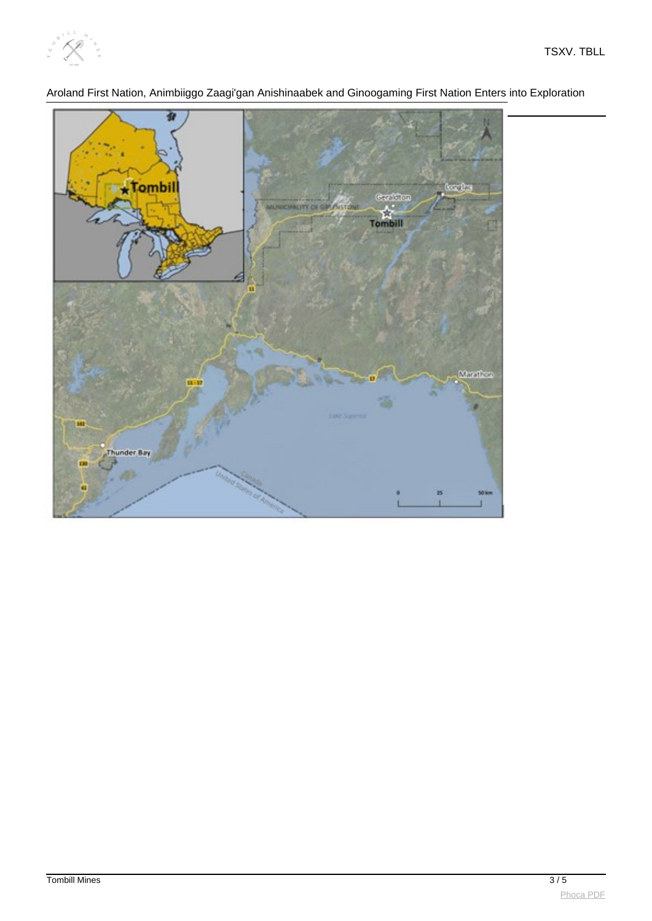



Aroland First Nation, Animbiiggo Zaagi'gan Anishinaabek and Ginoogaming First Nation Enters into Exploration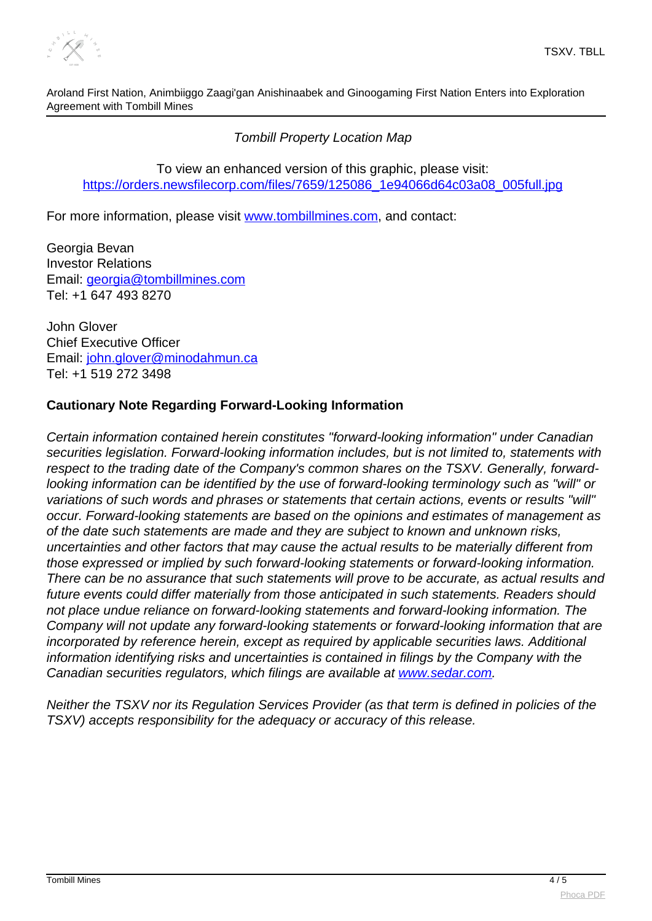

Aroland First Nation, Animbiiggo Zaagi'gan Anishinaabek and Ginoogaming First Nation Enters into Exploration Agreement with Tombill Mines

Tombill Property Location Map

To view an enhanced version of this graphic, please visit: [https://orders.newsfilecorp.com/files/7659/125086\\_1e94066d64c03a08\\_005full.jpg](https://orders.newsfilecorp.com/files/7659/125086_1e94066d64c03a08_005full.jpg)

For more information, please visit [www.tombillmines.com](https://www.newsfilecorp.com/redirect/p4gVxSNg4a), and contact:

Georgia Bevan Investor Relations Email: [georgia@tombillmines.com](mailto:georgia@tombillmines.com) Tel: +1 647 493 8270

John Glover Chief Executive Officer Email: [john.glover@minodahmun.ca](mailto:john.glover@minodahmun.ca) Tel: +1 519 272 3498

## **Cautionary Note Regarding Forward-Looking Information**

Certain information contained herein constitutes "forward-looking information" under Canadian securities legislation. Forward-looking information includes, but is not limited to, statements with respect to the trading date of the Company's common shares on the TSXV. Generally, forwardlooking information can be identified by the use of forward-looking terminology such as "will" or variations of such words and phrases or statements that certain actions, events or results "will" occur. Forward-looking statements are based on the opinions and estimates of management as of the date such statements are made and they are subject to known and unknown risks, uncertainties and other factors that may cause the actual results to be materially different from those expressed or implied by such forward-looking statements or forward-looking information. There can be no assurance that such statements will prove to be accurate, as actual results and future events could differ materially from those anticipated in such statements. Readers should not place undue reliance on forward-looking statements and forward-looking information. The Company will not update any forward-looking statements or forward-looking information that are incorporated by reference herein, except as required by applicable securities laws. Additional information identifying risks and uncertainties is contained in filings by the Company with the Canadian securities regulators, which filings are available at [www.sedar.com](https://www.newsfilecorp.com/redirect/YzJjvIayR4).

Neither the TSXV nor its Regulation Services Provider (as that term is defined in policies of the TSXV) accepts responsibility for the adequacy or accuracy of this release.